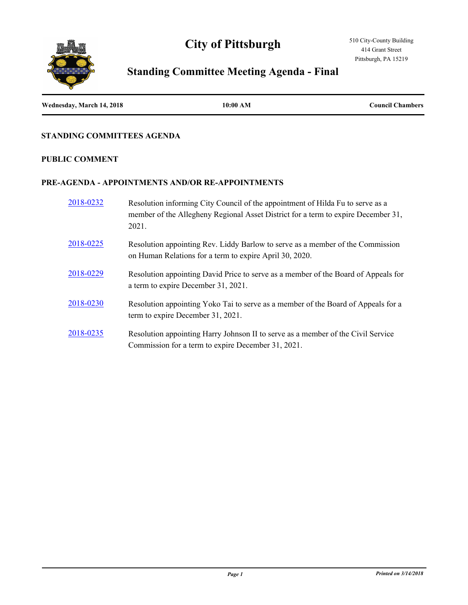# **City of Pittsburgh**



# **Standing Committee Meeting Agenda - Final**

| Wednesday, March 14, 2018 | 10:00 AM | <b>Council Chambers</b> |
|---------------------------|----------|-------------------------|
|                           |          |                         |

### **STANDING COMMITTEES AGENDA**

#### **PUBLIC COMMENT**

### **PRE-AGENDA - APPOINTMENTS AND/OR RE-APPOINTMENTS**

| 2018-0232 | Resolution informing City Council of the appointment of Hilda Fu to serve as a<br>member of the Allegheny Regional Asset District for a term to expire December 31,<br>2021. |
|-----------|------------------------------------------------------------------------------------------------------------------------------------------------------------------------------|
| 2018-0225 | Resolution appointing Rev. Liddy Barlow to serve as a member of the Commission<br>on Human Relations for a term to expire April 30, 2020.                                    |
| 2018-0229 | Resolution appointing David Price to serve as a member of the Board of Appeals for<br>a term to expire December 31, 2021.                                                    |
| 2018-0230 | Resolution appointing Yoko Tai to serve as a member of the Board of Appeals for a<br>term to expire December 31, 2021.                                                       |
| 2018-0235 | Resolution appointing Harry Johnson II to serve as a member of the Civil Service<br>Commission for a term to expire December 31, 2021.                                       |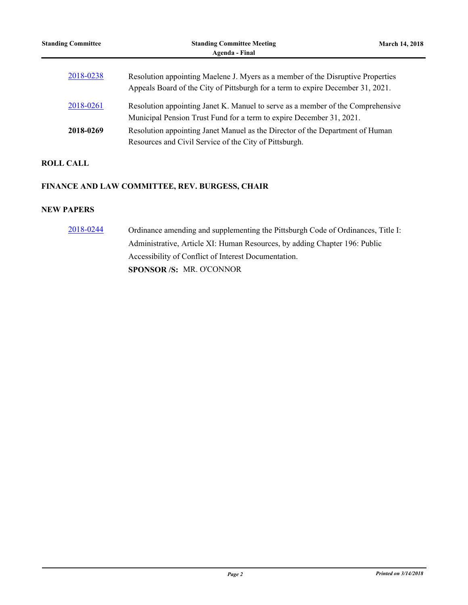| <b>Standing Committee</b> | <b>Standing Committee Meeting</b><br>Agenda - Final                                                                                                                | <b>March 14, 2018</b> |
|---------------------------|--------------------------------------------------------------------------------------------------------------------------------------------------------------------|-----------------------|
| 2018-0238                 | Resolution appointing Maelene J. Myers as a member of the Disruptive Properties<br>Appeals Board of the City of Pittsburgh for a term to expire December 31, 2021. |                       |
| 2018-0261                 | Resolution appointing Janet K. Manuel to serve as a member of the Comprehensive<br>Municipal Pension Trust Fund for a term to expire December 31, 2021.            |                       |
| 2018-0269                 | Resolution appointing Janet Manuel as the Director of the Department of Human<br>Resources and Civil Service of the City of Pittsburgh.                            |                       |

# **ROLL CALL**

## **FINANCE AND LAW COMMITTEE, REV. BURGESS, CHAIR**

#### **NEW PAPERS**

[2018-0244](http://pittsburgh.legistar.com/gateway.aspx?m=l&id=/matter.aspx?key=22543) Ordinance amending and supplementing the Pittsburgh Code of Ordinances, Title I: Administrative, Article XI: Human Resources, by adding Chapter 196: Public Accessibility of Conflict of Interest Documentation. **SPONSOR /S:** MR. O'CONNOR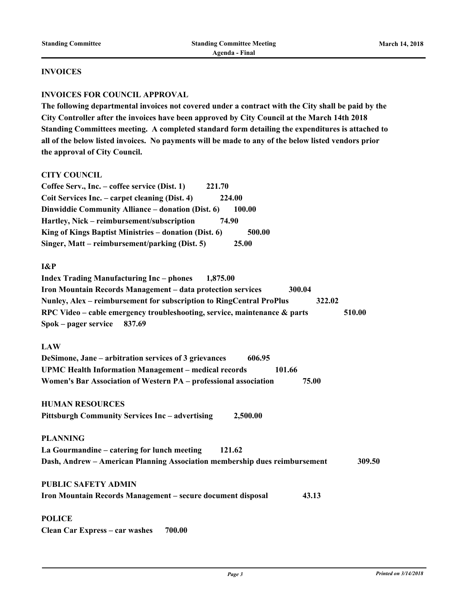#### **INVOICES**

#### **INVOICES FOR COUNCIL APPROVAL**

**The following departmental invoices not covered under a contract with the City shall be paid by the City Controller after the invoices have been approved by City Council at the March 14th 2018 Standing Committees meeting. A completed standard form detailing the expenditures is attached to all of the below listed invoices. No payments will be made to any of the below listed vendors prior the approval of City Council.** 

#### **CITY COUNCIL**

| Coffee Serv., Inc. – coffee service (Dist. 1)            | 221.70 |
|----------------------------------------------------------|--------|
| Coit Services Inc. – carpet cleaning (Dist. 4)           | 224.00 |
| Dinwiddie Community Alliance – donation (Dist. 6)        | 100.00 |
| Hartley, Nick – reimbursement/subscription               | 74.90  |
| King of Kings Baptist Ministries – donation (Dist. $6$ ) | 500.00 |
| Singer, Matt – reimbursement/parking (Dist. 5)           | 25.00  |

#### **I&P**

| <b>Index Trading Manufacturing Inc – phones</b>             |        | 1,875.00                                                                     |        |        |        |
|-------------------------------------------------------------|--------|------------------------------------------------------------------------------|--------|--------|--------|
| Iron Mountain Records Management - data protection services |        |                                                                              | 300.04 |        |        |
|                                                             |        | Nunley, Alex – reimbursement for subscription to RingCentral ProPlus         |        | 322.02 |        |
|                                                             |        | RPC Video – cable emergency troubleshooting, service, maintenance $\&$ parts |        |        | 510.00 |
| Spok – pager service                                        | 837.69 |                                                                              |        |        |        |

#### **LAW**

| DeSimone, Jane – arbitration services of 3 grievances            | 606.95 |        |       |
|------------------------------------------------------------------|--------|--------|-------|
| <b>UPMC Health Information Management – medical records</b>      |        | 101.66 |       |
| Women's Bar Association of Western PA – professional association |        |        | 75.00 |

**HUMAN RESOURCES** 

```
Pittsburgh Community Services Inc – advertising 2,500.00
```
**PLANNING La Gourmandine – catering for lunch meeting 121.62 Dash, Andrew – American Planning Association membership dues reimbursement 309.50**

#### **PUBLIC SAFETY ADMIN**

**Iron Mountain Records Management – secure document disposal 43.13**

#### **POLICE**

**Clean Car Express – car washes 700.00**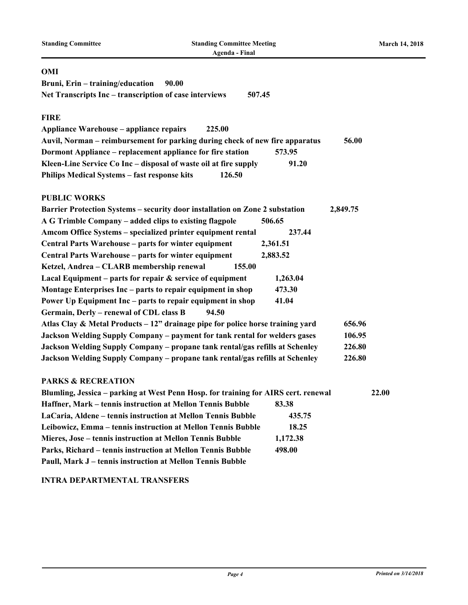| <b>Standing Committee</b>                                        | <b>Standing Committee Meeting</b><br><b>Agenda - Final</b>                         |          |          | <b>March 14, 2018</b> |
|------------------------------------------------------------------|------------------------------------------------------------------------------------|----------|----------|-----------------------|
| OMI                                                              |                                                                                    |          |          |                       |
| Bruni, Erin - training/education                                 | 90.00                                                                              |          |          |                       |
| Net Transcripts Inc – transcription of case interviews           | 507.45                                                                             |          |          |                       |
| <b>FIRE</b>                                                      |                                                                                    |          |          |                       |
| <b>Appliance Warehouse – appliance repairs</b>                   | 225.00                                                                             |          |          |                       |
|                                                                  | Auvil, Norman – reimbursement for parking during check of new fire apparatus       |          | 56.00    |                       |
| Dormont Appliance – replacement appliance for fire station       |                                                                                    | 573.95   |          |                       |
| Kleen-Line Service Co Inc – disposal of waste oil at fire supply |                                                                                    | 91.20    |          |                       |
| Philips Medical Systems - fast response kits                     | 126.50                                                                             |          |          |                       |
| <b>PUBLIC WORKS</b>                                              |                                                                                    |          |          |                       |
|                                                                  | Barrier Protection Systems - security door installation on Zone 2 substation       |          | 2,849.75 |                       |
| A G Trimble Company – added clips to existing flagpole           |                                                                                    | 506.65   |          |                       |
| Amcom Office Systems - specialized printer equipment rental      |                                                                                    | 237.44   |          |                       |
| Central Parts Warehouse – parts for winter equipment             |                                                                                    | 2,361.51 |          |                       |
| Central Parts Warehouse – parts for winter equipment             |                                                                                    | 2,883.52 |          |                       |
| Ketzel, Andrea - CLARB membership renewal                        | 155.00                                                                             |          |          |                       |
| Lacal Equipment – parts for repair $\&$ service of equipment     |                                                                                    | 1,263.04 |          |                       |
| Montage Enterprises Inc – parts to repair equipment in shop      |                                                                                    | 473.30   |          |                       |
| Power Up Equipment Inc – parts to repair equipment in shop       |                                                                                    | 41.04    |          |                       |
| Germain, Derly - renewal of CDL class B                          | 94.50                                                                              |          |          |                       |
|                                                                  | Atlas Clay & Metal Products - 12" drainage pipe for police horse training yard     |          | 656.96   |                       |
|                                                                  | Jackson Welding Supply Company - payment for tank rental for welders gases         |          | 106.95   |                       |
|                                                                  | Jackson Welding Supply Company - propane tank rental/gas refills at Schenley       |          | 226.80   |                       |
|                                                                  | Jackson Welding Supply Company - propane tank rental/gas refills at Schenley       |          | 226.80   |                       |
| <b>PARKS &amp; RECREATION</b>                                    |                                                                                    |          |          |                       |
|                                                                  | Blumling, Jessica - parking at West Penn Hosp. for training for AIRS cert. renewal |          |          | 22.00                 |
| Haffner, Mark – tennis instruction at Mellon Tennis Bubble       |                                                                                    | 83.38    |          |                       |
| LaCaria, Aldene - tennis instruction at Mellon Tennis Bubble     |                                                                                    | 435.75   |          |                       |
|                                                                  | Leibowicz, Emma - tennis instruction at Mellon Tennis Bubble                       | 18.25    |          |                       |
| Mieres, Jose - tennis instruction at Mellon Tennis Bubble        |                                                                                    | 1,172.38 |          |                       |
| Parks, Richard - tennis instruction at Mellon Tennis Bubble      |                                                                                    | 498.00   |          |                       |
| Paull, Mark J - tennis instruction at Mellon Tennis Bubble       |                                                                                    |          |          |                       |

# **INTRA DEPARTMENTAL TRANSFERS**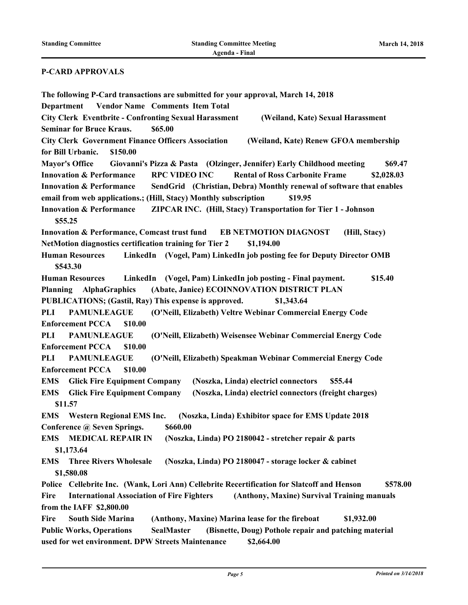#### **P-CARD APPROVALS**

**The following P-Card transactions are submitted for your approval, March 14, 2018 Department Vendor Name Comments Item Total City Clerk Eventbrite - Confronting Sexual Harassment (Weiland, Kate) Sexual Harassment Seminar for Bruce Kraus. \$65.00 City Clerk Government Finance Officers Association (Weiland, Kate) Renew GFOA membership for Bill Urbanic. \$150.00 Mayor's Office Giovanni's Pizza & Pasta (Olzinger, Jennifer) Early Childhood meeting \$69.47 Innovation & Performance RPC VIDEO INC Rental of Ross Carbonite Frame \$2,028.03 Innovation & Performance SendGrid (Christian, Debra) Monthly renewal of software that enables email from web applications.; (Hill, Stacy) Monthly subscription \$19.95 Innovation & Performance ZIPCAR INC. (Hill, Stacy) Transportation for Tier 1 - Johnson \$55.25 Innovation & Performance, Comcast trust fund EB NETMOTION DIAGNOST (Hill, Stacy) NetMotion diagnostics certification training for Tier 2 \$1,194.00 Human Resources LinkedIn (Vogel, Pam) LinkedIn job posting fee for Deputy Director OMB \$543.30 Human Resources LinkedIn (Vogel, Pam) LinkedIn job posting - Final payment. \$15.40 Planning AlphaGraphics (Abate, Janice) ECOINNOVATION DISTRICT PLAN PUBLICATIONS; (Gastil, Ray) This expense is approved. \$1,343.64 PLI PAMUNLEAGUE (O'Neill, Elizabeth) Veltre Webinar Commercial Energy Code Enforcement PCCA \$10.00 PLI PAMUNLEAGUE (O'Neill, Elizabeth) Weisensee Webinar Commercial Energy Code Enforcement PCCA \$10.00 PLI PAMUNLEAGUE (O'Neill, Elizabeth) Speakman Webinar Commercial Energy Code Enforcement PCCA \$10.00 EMS Glick Fire Equipment Company (Noszka, Linda) electricl connectors \$55.44 EMS Glick Fire Equipment Company (Noszka, Linda) electricl connectors (freight charges) \$11.57 EMS Western Regional EMS Inc. (Noszka, Linda) Exhibitor space for EMS Update 2018 Conference @ Seven Springs. \$660.00 EMS MEDICAL REPAIR IN (Noszka, Linda) PO 2180042 - stretcher repair & parts \$1,173.64 EMS Three Rivers Wholesale (Noszka, Linda) PO 2180047 - storage locker & cabinet \$1,580.08 Police Cellebrite Inc. (Wank, Lori Ann) Cellebrite Recertification for Slatcoff and Henson \$578.00 Fire International Association of Fire Fighters (Anthony, Maxine) Survival Training manuals from the IAFF \$2,800.00 Fire South Side Marina (Anthony, Maxine) Marina lease for the fireboat \$1,932.00 Public Works, Operations SealMaster (Bisnette, Doug) Pothole repair and patching material used for wet environment. DPW Streets Maintenance \$2,664.00**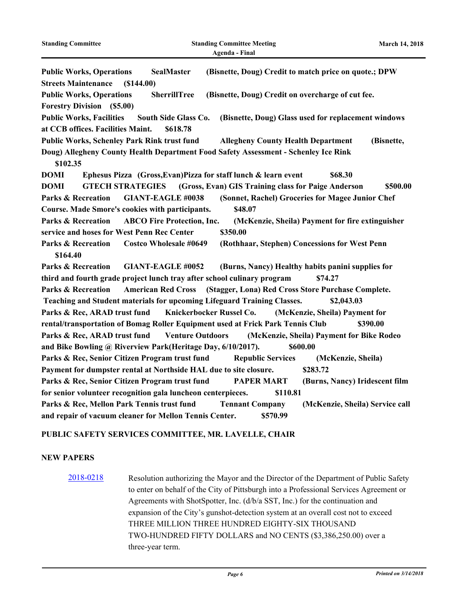| <b>Standing Committee</b>                                                                       |                                   | <b>Standing Committee Meeting</b><br>Agenda - Final             |                                                                       | <b>March 14, 2018</b> |
|-------------------------------------------------------------------------------------------------|-----------------------------------|-----------------------------------------------------------------|-----------------------------------------------------------------------|-----------------------|
| <b>Public Works, Operations</b>                                                                 | <b>SealMaster</b>                 |                                                                 | (Bisnette, Doug) Credit to match price on quote.; DPW                 |                       |
| <b>Streets Maintenance</b><br>(S144.00)                                                         |                                   |                                                                 |                                                                       |                       |
| <b>Public Works, Operations</b>                                                                 | <b>SherrillTree</b>               | (Bisnette, Doug) Credit on overcharge of cut fee.               |                                                                       |                       |
| <b>Forestry Division</b> (\$5.00)                                                               |                                   |                                                                 |                                                                       |                       |
| <b>Public Works, Facilities</b><br>at CCB offices. Facilities Maint.                            | South Side Glass Co.<br>\$618.78  |                                                                 | (Bisnette, Doug) Glass used for replacement windows                   |                       |
| <b>Public Works, Schenley Park Rink trust fund</b>                                              |                                   | <b>Allegheny County Health Department</b>                       | (Bisnette,                                                            |                       |
| Doug) Allegheny County Health Department Food Safety Assessment - Schenley Ice Rink<br>\$102.35 |                                   |                                                                 |                                                                       |                       |
| <b>DOMI</b>                                                                                     |                                   | Ephesus Pizza (Gross, Evan) Pizza for staff lunch & learn event | \$68.30                                                               |                       |
| <b>DOMI</b><br><b>GTECH STRATEGIES</b>                                                          |                                   | (Gross, Evan) GIS Training class for Paige Anderson             | \$500.00                                                              |                       |
| <b>Parks &amp; Recreation</b>                                                                   | <b>GIANT-EAGLE #0038</b>          |                                                                 | (Sonnet, Rachel) Groceries for Magee Junior Chef                      |                       |
| Course. Made Smore's cookies with participants.                                                 |                                   | \$48.07                                                         |                                                                       |                       |
| <b>Parks &amp; Recreation</b>                                                                   | <b>ABCO Fire Protection, Inc.</b> |                                                                 | (McKenzie, Sheila) Payment for fire extinguisher                      |                       |
| service and hoses for West Penn Rec Center                                                      |                                   | \$350.00                                                        |                                                                       |                       |
| <b>Parks &amp; Recreation</b><br>\$164.40                                                       | <b>Costco Wholesale #0649</b>     |                                                                 | (Rothhaar, Stephen) Concessions for West Penn                         |                       |
| <b>Parks &amp; Recreation</b>                                                                   | <b>GIANT-EAGLE #0052</b>          |                                                                 | (Burns, Nancy) Healthy habits panini supplies for                     |                       |
| third and fourth grade project lunch tray after school culinary program                         |                                   |                                                                 | \$74.27                                                               |                       |
| <b>Parks &amp; Recreation</b>                                                                   |                                   |                                                                 | American Red Cross (Stagger, Lona) Red Cross Store Purchase Complete. |                       |
| Teaching and Student materials for upcoming Lifeguard Training Classes.                         |                                   |                                                                 | \$2,043.03                                                            |                       |
| Parks & Rec, ARAD trust fund                                                                    |                                   | Knickerbocker Russel Co.                                        | (McKenzie, Sheila) Payment for                                        |                       |
| rental/transportation of Bomag Roller Equipment used at Frick Park Tennis Club                  |                                   |                                                                 | \$390.00                                                              |                       |
| Parks & Rec, ARAD trust fund                                                                    | <b>Venture Outdoors</b>           |                                                                 | (McKenzie, Sheila) Payment for Bike Rodeo                             |                       |
| and Bike Bowling @ Riverview Park(Heritage Day, 6/10/2017).                                     |                                   |                                                                 | \$600.00                                                              |                       |
| Parks & Rec, Senior Citizen Program trust fund                                                  |                                   | <b>Republic Services</b>                                        | (McKenzie, Sheila)                                                    |                       |
| Payment for dumpster rental at Northside HAL due to site closure.                               |                                   |                                                                 | \$283.72                                                              |                       |
| Parks & Rec, Senior Citizen Program trust fund                                                  |                                   | <b>PAPER MART</b>                                               | (Burns, Nancy) Iridescent film                                        |                       |
| for senior volunteer recognition gala luncheon centerpieces.                                    |                                   | \$110.81                                                        |                                                                       |                       |
| Parks & Rec, Mellon Park Tennis trust fund                                                      |                                   | <b>Tennant Company</b>                                          | (McKenzie, Sheila) Service call                                       |                       |
| and repair of vacuum cleaner for Mellon Tennis Center.                                          |                                   | \$570.99                                                        |                                                                       |                       |

# **PUBLIC SAFETY SERVICES COMMITTEE, MR. LAVELLE, CHAIR**

## **NEW PAPERS**

[2018-0218](http://pittsburgh.legistar.com/gateway.aspx?m=l&id=/matter.aspx?key=22517) Resolution authorizing the Mayor and the Director of the Department of Public Safety to enter on behalf of the City of Pittsburgh into a Professional Services Agreement or Agreements with ShotSpotter, Inc. (d/b/a SST, Inc.) for the continuation and expansion of the City's gunshot-detection system at an overall cost not to exceed THREE MILLION THREE HUNDRED EIGHTY-SIX THOUSAND TWO-HUNDRED FIFTY DOLLARS and NO CENTS (\$3,386,250.00) over a three-year term.